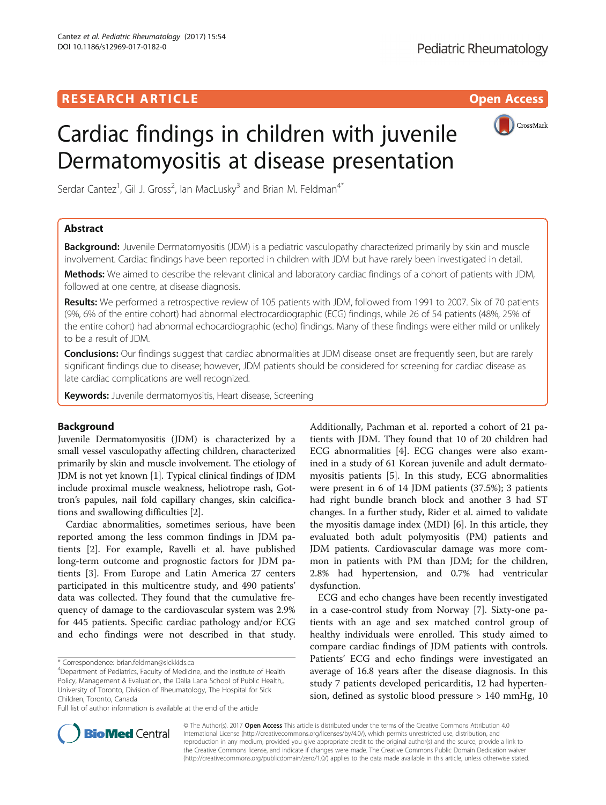

# Cardiac findings in children with juvenile Dermatomyositis at disease presentation

Serdar Cantez<sup>1</sup>, Gil J. Gross<sup>2</sup>, Ian MacLusky<sup>3</sup> and Brian M. Feldman<sup>4\*</sup>

# Abstract

Background: Juvenile Dermatomyositis (JDM) is a pediatric vasculopathy characterized primarily by skin and muscle involvement. Cardiac findings have been reported in children with JDM but have rarely been investigated in detail.

Methods: We aimed to describe the relevant clinical and laboratory cardiac findings of a cohort of patients with JDM, followed at one centre, at disease diagnosis.

Results: We performed a retrospective review of 105 patients with JDM, followed from 1991 to 2007. Six of 70 patients (9%, 6% of the entire cohort) had abnormal electrocardiographic (ECG) findings, while 26 of 54 patients (48%, 25% of the entire cohort) had abnormal echocardiographic (echo) findings. Many of these findings were either mild or unlikely to be a result of JDM.

Conclusions: Our findings suggest that cardiac abnormalities at JDM disease onset are frequently seen, but are rarely significant findings due to disease; however, JDM patients should be considered for screening for cardiac disease as late cardiac complications are well recognized.

Keywords: Juvenile dermatomyositis, Heart disease, Screening

## Background

Juvenile Dermatomyositis (JDM) is characterized by a small vessel vasculopathy affecting children, characterized primarily by skin and muscle involvement. The etiology of JDM is not yet known [[1\]](#page-3-0). Typical clinical findings of JDM include proximal muscle weakness, heliotrope rash, Gottron's papules, nail fold capillary changes, skin calcifications and swallowing difficulties [[2\]](#page-3-0).

Cardiac abnormalities, sometimes serious, have been reported among the less common findings in JDM patients [\[2](#page-3-0)]. For example, Ravelli et al. have published long-term outcome and prognostic factors for JDM patients [[3\]](#page-3-0). From Europe and Latin America 27 centers participated in this multicentre study, and 490 patients' data was collected. They found that the cumulative frequency of damage to the cardiovascular system was 2.9% for 445 patients. Specific cardiac pathology and/or ECG and echo findings were not described in that study.

\* Correspondence: [brian.feldman@sickkids.ca](mailto:brian.feldman@sickkids.ca) <sup>4</sup>

Full list of author information is available at the end of the article

Additionally, Pachman et al. reported a cohort of 21 patients with JDM. They found that 10 of 20 children had ECG abnormalities [\[4](#page-3-0)]. ECG changes were also examined in a study of 61 Korean juvenile and adult dermatomyositis patients [[5\]](#page-3-0). In this study, ECG abnormalities were present in 6 of 14 JDM patients (37.5%); 3 patients had right bundle branch block and another 3 had ST changes. In a further study, Rider et al. aimed to validate the myositis damage index (MDI) [[6](#page-3-0)]. In this article, they evaluated both adult polymyositis (PM) patients and JDM patients. Cardiovascular damage was more common in patients with PM than JDM; for the children, 2.8% had hypertension, and 0.7% had ventricular dysfunction.

ECG and echo changes have been recently investigated in a case-control study from Norway [[7](#page-3-0)]. Sixty-one patients with an age and sex matched control group of healthy individuals were enrolled. This study aimed to compare cardiac findings of JDM patients with controls. Patients' ECG and echo findings were investigated an average of 16.8 years after the disease diagnosis. In this study 7 patients developed pericarditis, 12 had hypertension, defined as systolic blood pressure > 140 mmHg, 10



© The Author(s). 2017 **Open Access** This article is distributed under the terms of the Creative Commons Attribution 4.0 International License [\(http://creativecommons.org/licenses/by/4.0/](http://creativecommons.org/licenses/by/4.0/)), which permits unrestricted use, distribution, and reproduction in any medium, provided you give appropriate credit to the original author(s) and the source, provide a link to the Creative Commons license, and indicate if changes were made. The Creative Commons Public Domain Dedication waiver [\(http://creativecommons.org/publicdomain/zero/1.0/](http://creativecommons.org/publicdomain/zero/1.0/)) applies to the data made available in this article, unless otherwise stated.

<sup>&</sup>lt;sup>4</sup>Department of Pediatrics, Faculty of Medicine, and the Institute of Health Policy, Management & Evaluation, the Dalla Lana School of Public Health,, University of Toronto, Division of Rheumatology, The Hospital for Sick Children, Toronto, Canada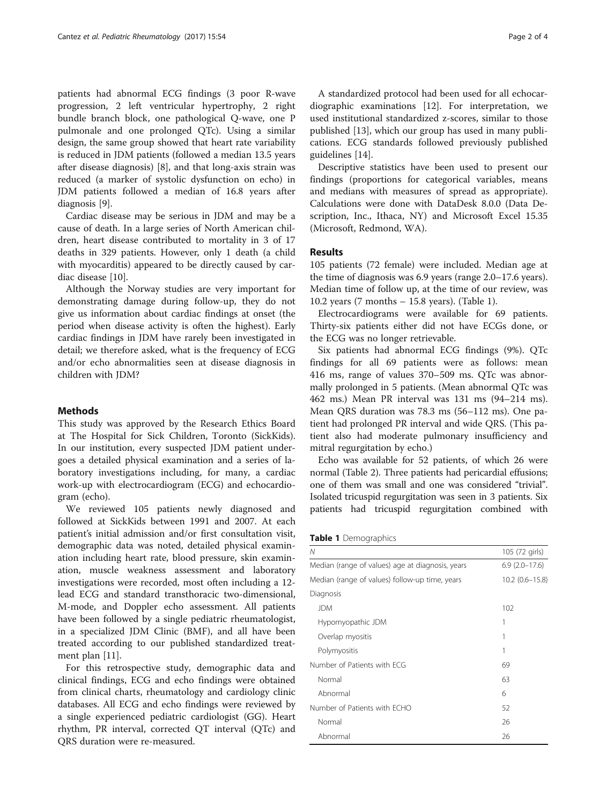patients had abnormal ECG findings (3 poor R-wave progression, 2 left ventricular hypertrophy, 2 right bundle branch block, one pathological Q-wave, one P pulmonale and one prolonged QTc). Using a similar design, the same group showed that heart rate variability is reduced in JDM patients (followed a median 13.5 years after disease diagnosis) [[8](#page-3-0)], and that long-axis strain was reduced (a marker of systolic dysfunction on echo) in JDM patients followed a median of 16.8 years after diagnosis [\[9](#page-3-0)].

Cardiac disease may be serious in JDM and may be a cause of death. In a large series of North American children, heart disease contributed to mortality in 3 of 17 deaths in 329 patients. However, only 1 death (a child with myocarditis) appeared to be directly caused by cardiac disease [[10\]](#page-3-0).

Although the Norway studies are very important for demonstrating damage during follow-up, they do not give us information about cardiac findings at onset (the period when disease activity is often the highest). Early cardiac findings in JDM have rarely been investigated in detail; we therefore asked, what is the frequency of ECG and/or echo abnormalities seen at disease diagnosis in children with JDM?

## Methods

This study was approved by the Research Ethics Board at The Hospital for Sick Children, Toronto (SickKids). In our institution, every suspected JDM patient undergoes a detailed physical examination and a series of laboratory investigations including, for many, a cardiac work-up with electrocardiogram (ECG) and echocardiogram (echo).

We reviewed 105 patients newly diagnosed and followed at SickKids between 1991 and 2007. At each patient's initial admission and/or first consultation visit, demographic data was noted, detailed physical examination including heart rate, blood pressure, skin examination, muscle weakness assessment and laboratory investigations were recorded, most often including a 12 lead ECG and standard transthoracic two-dimensional, M-mode, and Doppler echo assessment. All patients have been followed by a single pediatric rheumatologist, in a specialized JDM Clinic (BMF), and all have been treated according to our published standardized treatment plan [\[11](#page-3-0)].

For this retrospective study, demographic data and clinical findings, ECG and echo findings were obtained from clinical charts, rheumatology and cardiology clinic databases. All ECG and echo findings were reviewed by a single experienced pediatric cardiologist (GG). Heart rhythm, PR interval, corrected QT interval (QTc) and QRS duration were re-measured.

A standardized protocol had been used for all echocardiographic examinations [\[12\]](#page-3-0). For interpretation, we used institutional standardized z-scores, similar to those published [\[13](#page-3-0)], which our group has used in many publications. ECG standards followed previously published guidelines [[14\]](#page-3-0).

Descriptive statistics have been used to present our findings (proportions for categorical variables, means and medians with measures of spread as appropriate). Calculations were done with DataDesk 8.0.0 (Data Description, Inc., Ithaca, NY) and Microsoft Excel 15.35 (Microsoft, Redmond, WA).

## Results

105 patients (72 female) were included. Median age at the time of diagnosis was 6.9 years (range 2.0–17.6 years). Median time of follow up, at the time of our review, was 10.2 years (7 months – 15.8 years). (Table 1).

Electrocardiograms were available for 69 patients. Thirty-six patients either did not have ECGs done, or the ECG was no longer retrievable.

Six patients had abnormal ECG findings (9%). QTc findings for all 69 patients were as follows: mean 416 ms, range of values 370–509 ms. QTc was abnormally prolonged in 5 patients. (Mean abnormal QTc was 462 ms.) Mean PR interval was 131 ms (94–214 ms). Mean QRS duration was 78.3 ms (56–112 ms). One patient had prolonged PR interval and wide QRS. (This patient also had moderate pulmonary insufficiency and mitral regurgitation by echo.)

Echo was available for 52 patients, of which 26 were normal (Table [2](#page-2-0)). Three patients had pericardial effusions; one of them was small and one was considered "trivial". Isolated tricuspid regurgitation was seen in 3 patients. Six patients had tricuspid regurgitation combined with

|  |  | Table 1 Demographics |
|--|--|----------------------|
|--|--|----------------------|

| Ν                                                | 105 (72 girls)     |  |  |  |  |
|--------------------------------------------------|--------------------|--|--|--|--|
| Median (range of values) age at diagnosis, years | $6.9(2.0-17.6)$    |  |  |  |  |
| Median (range of values) follow-up time, years   | $10.2(0.6 - 15.8)$ |  |  |  |  |
| Diagnosis                                        |                    |  |  |  |  |
| <b>JDM</b>                                       | 102                |  |  |  |  |
| Hypomyopathic JDM                                | 1                  |  |  |  |  |
| Overlap myositis                                 |                    |  |  |  |  |
| Polymyositis                                     |                    |  |  |  |  |
| Number of Patients with FCG                      | 69                 |  |  |  |  |
| Normal                                           | 63                 |  |  |  |  |
| Abnormal                                         | 6                  |  |  |  |  |
| Number of Patients with FCHO                     | 52                 |  |  |  |  |
| Normal                                           | 26                 |  |  |  |  |
| Abnormal                                         | 26                 |  |  |  |  |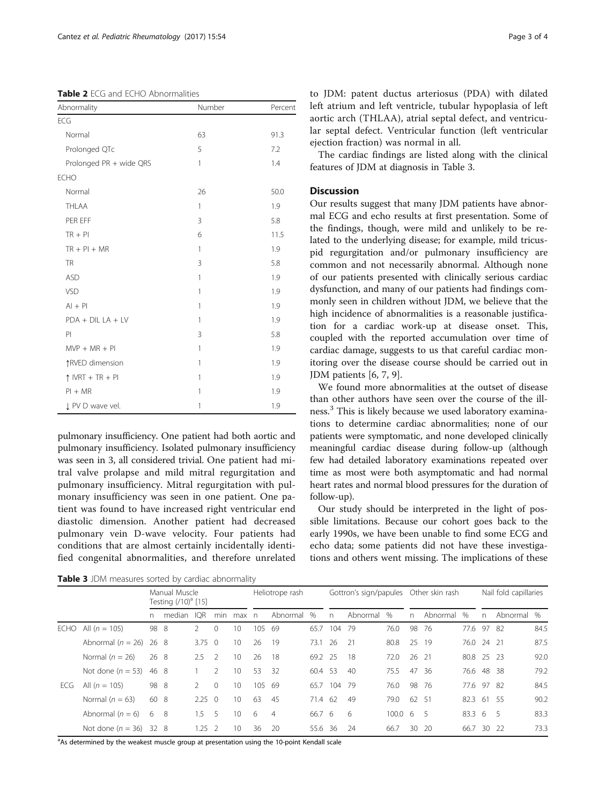<span id="page-2-0"></span>Table 2 ECG and ECHO Abnormalities

| Abnormality               | Number       | Percent |  |  |
|---------------------------|--------------|---------|--|--|
| ECG                       |              |         |  |  |
| Normal                    | 63           | 91.3    |  |  |
| Prolonged QTc             | 5            | 7.2     |  |  |
| Prolonged PR + wide QRS   | 1            | 1.4     |  |  |
| <b>ECHO</b>               |              |         |  |  |
| Normal                    | 26           | 50.0    |  |  |
| THLAA                     | 1            | 1.9     |  |  |
| PER EFF                   | 3            | 5.8     |  |  |
| $TR + PI$                 | 6            | 11.5    |  |  |
| $TR + PI + MR$            | $\mathbf{1}$ | 1.9     |  |  |
| <b>TR</b>                 | 3            | 5.8     |  |  |
| <b>ASD</b>                | 1            | 1.9     |  |  |
| VSD                       | 1            | 1.9     |  |  |
| $Al + Pl$                 | 1            | 1.9     |  |  |
| $PDA + DIL LA + LV$       | 1            | 1.9     |  |  |
| P                         | 3            | 5.8     |  |  |
| $MVP + MR + PI$           | 1            | 1.9     |  |  |
| ↑RVED dimension           | 1            | 1.9     |  |  |
| $\uparrow$ IVRT + TR + PI | 1            | 1.9     |  |  |
| $PI + MR$                 | 1            | 1.9     |  |  |
| J PV D wave vel.          | 1            | 1.9     |  |  |
|                           |              |         |  |  |

pulmonary insufficiency. One patient had both aortic and pulmonary insufficiency. Isolated pulmonary insufficiency was seen in 3, all considered trivial. One patient had mitral valve prolapse and mild mitral regurgitation and pulmonary insufficiency. Mitral regurgitation with pulmonary insufficiency was seen in one patient. One patient was found to have increased right ventricular end diastolic dimension. Another patient had decreased pulmonary vein D-wave velocity. Four patients had conditions that are almost certainly incidentally identified congenital abnormalities, and therefore unrelated

to JDM: patent ductus arteriosus (PDA) with dilated left atrium and left ventricle, tubular hypoplasia of left aortic arch (THLAA), atrial septal defect, and ventricular septal defect. Ventricular function (left ventricular ejection fraction) was normal in all.

The cardiac findings are listed along with the clinical features of JDM at diagnosis in Table 3.

## Discussion

Our results suggest that many JDM patients have abnormal ECG and echo results at first presentation. Some of the findings, though, were mild and unlikely to be related to the underlying disease; for example, mild tricuspid regurgitation and/or pulmonary insufficiency are common and not necessarily abnormal. Although none of our patients presented with clinically serious cardiac dysfunction, and many of our patients had findings commonly seen in children without JDM, we believe that the high incidence of abnormalities is a reasonable justification for a cardiac work-up at disease onset. This, coupled with the reported accumulation over time of cardiac damage, suggests to us that careful cardiac monitoring over the disease course should be carried out in JDM patients [\[6](#page-3-0), [7](#page-3-0), [9](#page-3-0)].

We found more abnormalities at the outset of disease than other authors have seen over the course of the illness.<sup>3</sup> This is likely because we used laboratory examinations to determine cardiac abnormalities; none of our patients were symptomatic, and none developed clinically meaningful cardiac disease during follow-up (although few had detailed laboratory examinations repeated over time as most were both asymptomatic and had normal heart rates and normal blood pressures for the duration of follow-up).

Our study should be interpreted in the light of possible limitations. Because our cohort goes back to the early 1990s, we have been unable to find some ECG and echo data; some patients did not have these investigations and others went missing. The implications of these

Table 3 JDM measures sorted by cardiac abnormality

|      |                            | Manual Muscle<br>Testing (/10) <sup>a</sup> [15] |        |                |               | Heliotrope rash |     |                | Gottron's sign/papules |     |          | Other skin rash    |       |          | Nail fold capillaries |              |            |      |
|------|----------------------------|--------------------------------------------------|--------|----------------|---------------|-----------------|-----|----------------|------------------------|-----|----------|--------------------|-------|----------|-----------------------|--------------|------------|------|
|      |                            | n.                                               | median | <b>IQR</b>     | min           | max             | n   | Abnormal       | %                      | n   | Abnormal | %                  | n     | Abnormal | %                     | $\mathsf{n}$ | Abnormal % |      |
| ECHO | All $(n = 105)$            | 98 8                                             |        | $\mathcal{P}$  | $\Omega$      | 10 <sup>2</sup> | 105 | -69            | 65.7                   | 104 | - 79     | 76.0               | 98    | - 76     | 77.6 97               |              | -82        | 84.5 |
|      | Abnormal ( $n = 26$ )      | 26 8                                             |        | $3.75 \quad 0$ |               | 10 <sup>°</sup> | 26  | 19             | 73.1                   | -26 | 21       | 80.8               | 25    | - 19     | 76.0                  | 24 21        |            | 87.5 |
|      | Normal $(n = 26)$          | 26 8                                             |        | $2.5 \quad 2$  |               | 10 <sup>1</sup> | 26  | -18            | 69.2 25                |     | -18      | 72.0               | 26 21 |          | 80.8 25 23            |              |            | 92.0 |
|      | Not done ( $n = 53$ ) 46 8 |                                                  |        |                | $\mathcal{P}$ | 10 <sup>2</sup> | 53  | -32            | 60.4 53                |     | 40       | 75.5               | 47    | -36      | 76.6 48               |              | -38        | 79.2 |
| ECG  | All $(n = 105)$            | 98 8                                             |        | $\mathcal{P}$  | $\Omega$      | 10 <sup>°</sup> | 105 | -69            | 65.7                   | 104 | - 79     | 76.0               | 98    | -76      | 77.6 97               |              | -82        | 84.5 |
|      | Normal $(n = 63)$          | 60 8                                             |        | 2.25           | $\bigcirc$    | 10 <sup>°</sup> | 63  | -45            | 71.4 62                |     | 49       | 79.0               | 62 51 |          | 82.3                  | 61           | - 55       | 90.2 |
|      | Abnormal $(n = 6)$         | 6                                                | -8     | 1.5            | 5             | 10 <sup>°</sup> | 6   | $\overline{4}$ | 66.7 6                 |     | 6        | 100.0 <sub>6</sub> |       | 5        | $83.3\quad6$          |              | - 5        | 83.3 |
|      | Not done $(n = 36)$ 32 8   |                                                  |        | 1.25           | -2            | 10              | 36  | 20             | 55.6                   | 36  | 24       | 66.7               | 30    | - 20     | 66.7                  | 30           | - 22       | 73.3 |

<sup>a</sup>As determined by the weakest muscle group at presentation using the 10-point Kendall scale